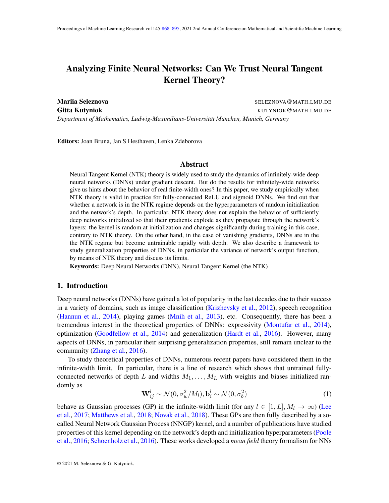# <span id="page-0-0"></span>Analyzing Finite Neural Networks: Can We Trust Neural Tangent Kernel Theory?

Mariia Seleznova Seleznova SELEZNOVA QUATH.LMU.DE **Gitta Kutyniok** Kutyniok Kutyniok Kutyniok Kutyniok Kutyniok Kutyniok Kutyniok Kutyniok Kutyniok Kutyniok Kutyniok *Department of Mathematics, Ludwig-Maximilians-Universitat M¨ unchen, Munich, Germany ¨*

Editors: Joan Bruna, Jan S Hesthaven, Lenka Zdeborova

## Abstract

Neural Tangent Kernel (NTK) theory is widely used to study the dynamics of infinitely-wide deep neural networks (DNNs) under gradient descent. But do the results for infinitely-wide networks give us hints about the behavior of real finite-width ones? In this paper, we study empirically when NTK theory is valid in practice for fully-connected ReLU and sigmoid DNNs. We find out that whether a network is in the NTK regime depends on the hyperparameters of random initialization and the network's depth. In particular, NTK theory does not explain the behavior of sufficiently deep networks initialized so that their gradients explode as they propagate through the network's layers: the kernel is random at initialization and changes significantly during training in this case, contrary to NTK theory. On the other hand, in the case of vanishing gradients, DNNs are in the the NTK regime but become untrainable rapidly with depth. We also describe a framework to study generalization properties of DNNs, in particular the variance of network's output function, by means of NTK theory and discuss its limits.

Keywords: Deep Neural Networks (DNN), Neural Tangent Kernel (the NTK)

#### 1. Introduction

Deep neural networks (DNNs) have gained a lot of popularity in the last decades due to their success in a variety of domains, such as image classification [\(Krizhevsky et al.,](#page-16-0)  $2012$ ), speech recognition [\(Hannun et al.,](#page-15-0) [2014\)](#page-15-0), playing games [\(Mnih et al.,](#page-16-1) [2013\)](#page-16-1), etc. Consequently, there has been a tremendous interest in the theoretical properties of DNNs: expressivity [\(Montufar et al.,](#page-16-2) [2014\)](#page-16-2), optimization [\(Goodfellow et al.,](#page-15-1) [2014\)](#page-15-1) and generalization [\(Hardt et al.,](#page-16-3) [2016\)](#page-16-3). However, many aspects of DNNs, in particular their surprising generalization properties, still remain unclear to the community [\(Zhang et al.,](#page-17-0) [2016\)](#page-17-0).

To study theoretical properties of DNNs, numerous recent papers have considered them in the infinite-width limit. In particular, there is a line of research which shows that untrained fullyconnected networks of depth L and widths  $M_1, \ldots, M_L$  with weights and biases initialized randomly as

<span id="page-0-1"></span>
$$
\mathbf{W}_{ij}^l \sim \mathcal{N}(0, \sigma_w^2/M_l), \mathbf{b}_i^l \sim \mathcal{N}(0, \sigma_b^2)
$$
 (1)

behave as Gaussian processes (GP) in the infinite-width limit (for any  $l \in [1, L], M_l \to \infty$ ) [\(Lee](#page-16-4) [et al.,](#page-16-4) [2017;](#page-16-4) [Matthews et al.,](#page-16-5) [2018;](#page-16-5) [Novak et al.,](#page-17-1) [2018\)](#page-17-1). These GPs are then fully described by a socalled Neural Network Gaussian Process (NNGP) kernel, and a number of publications have studied properties of this kernel depending on the network's depth and initialization hyperparameters [\(Poole](#page-17-2) [et al.,](#page-17-2) [2016;](#page-17-2) [Schoenholz et al.,](#page-17-3) [2016\)](#page-17-3). These works developed a *mean field* theory formalism for NNs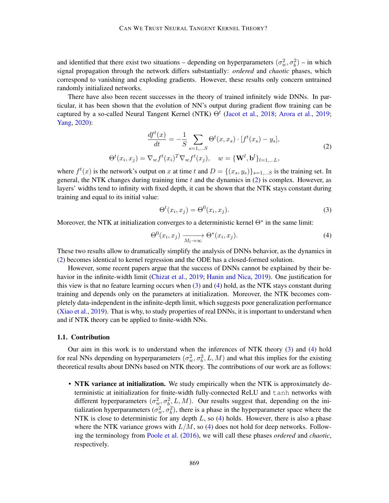and identified that there exist two situations – depending on hyperparameters  $(\sigma_w^2, \sigma_b^2)$  – in which signal propagation through the network differs substantially: *ordered* and *chaotic* phases, which correspond to vanishing and exploding gradients. However, these results only concern untrained randomly initialized networks.

There have also been recent successes in the theory of trained infinitely wide DNNs. In particular, it has been shown that the evolution of NN's output during gradient flow training can be captured by a so-called Neural Tangent Kernel (NTK)  $\Theta^t$  [\(Jacot et al.,](#page-16-6) [2018;](#page-16-6) [Arora et al.,](#page-15-2) [2019;](#page-15-2) [Yang,](#page-17-4) [2020\)](#page-17-4):

$$
\frac{df^{t}(x)}{dt} = -\frac{1}{S} \sum_{s=1,...S} \Theta^{t}(x, x_{s}) \cdot [f^{t}(x_{s}) - y_{s}],
$$
\n
$$
\Theta^{t}(x_{i}, x_{j}) = \nabla_{w} f^{t}(x_{i})^{T} \nabla_{w} f^{t}(x_{j}), \quad w = \{\mathbf{W}^{l}, \mathbf{b}^{l}\}_{l=1,...L},
$$
\n(2)

<span id="page-1-0"></span>where  $f^t(x)$  is the network's output on x at time t and  $D = \{(x_s, y_s)\}_{s=1,...S}$  is the training set. In general, the NTK changes during training time  $t$  and the dynamics in  $(2)$  is complex. However, as layers' widths tend to infinity with fixed depth, it can be shown that the NTK stays constant during training and equal to its initial value:

<span id="page-1-1"></span>
$$
\Theta^t(x_i, x_j) = \Theta^0(x_i, x_j). \tag{3}
$$

Moreover, the NTK at initialization converges to a deterministic kernel Θ<sup>∗</sup> in the same limit:

<span id="page-1-2"></span>
$$
\Theta^{0}(x_{i}, x_{j}) \xrightarrow[M_{l} \to \infty]{} \Theta^{*}(x_{i}, x_{j}). \tag{4}
$$

These two results allow to dramatically simplify the analysis of DNNs behavior, as the dynamics in [\(2\)](#page-1-0) becomes identical to kernel regression and the ODE has a closed-formed solution.

However, some recent papers argue that the success of DNNs cannot be explained by their behavior in the infinite-width limit [\(Chizat et al.,](#page-15-3) [2019;](#page-15-3) [Hanin and Nica,](#page-15-4) [2019\)](#page-15-4). One justification for this view is that no feature learning occurs when [\(3\)](#page-1-1) and [\(4\)](#page-1-2) hold, as the NTK stays constant during training and depends only on the parameters at initialization. Moreover, the NTK becomes completely data-independent in the infinite-depth limit, which suggests poor generalization performance [\(Xiao et al.,](#page-17-5) [2019\)](#page-17-5). That is why, to study properties of real DNNs, it is important to understand when and if NTK theory can be applied to finite-width NNs.

### 1.1. Contribution

Our aim in this work is to understand when the inferences of NTK theory [\(3\)](#page-1-1) and [\(4\)](#page-1-2) hold for real NNs depending on hyperparameters  $(\sigma_w^2, \sigma_b^2, L, M)$  and what this implies for the existing theoretical results about DNNs based on NTK theory. The contributions of our work are as follows:

• NTK variance at initialization. We study empirically when the NTK is approximately deterministic at initialization for finite-width fully-connected ReLU and tanh networks with different hyperparameters  $(\sigma_w^2, \sigma_b^2, L, M)$ . Our results suggest that, depending on the initialization hyperparameters  $(\sigma_w^2, \sigma_b^2)$ , there is a phase in the hyperparameter space where the NTK is close to deterministic for any depth  $L$ , so  $(4)$  holds. However, there is also a phase where the NTK variance grows with  $L/M$ , so [\(4\)](#page-1-2) does not hold for deep networks. Following the terminology from [Poole et al.](#page-17-2) [\(2016\)](#page-17-2), we will call these phases *ordered* and *chaotic*, respectively.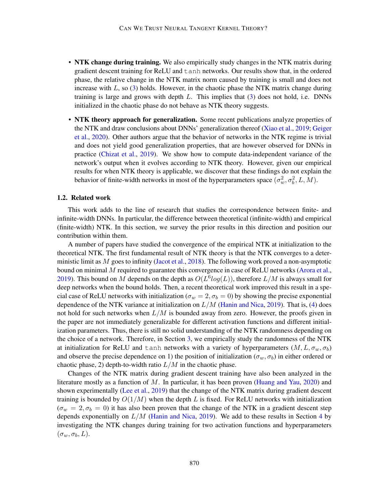- NTK change during training. We also empirically study changes in the NTK matrix during gradient descent training for ReLU and tanh networks. Our results show that, in the ordered phase, the relative change in the NTK matrix norm caused by training is small and does not increase with  $L$ , so  $(3)$  holds. However, in the chaotic phase the NTK matrix change during training is large and grows with depth  $L$ . This implies that  $(3)$  does not hold, i.e. DNNs initialized in the chaotic phase do not behave as NTK theory suggests.
- NTK theory approach for generalization. Some recent publications analyze properties of the NTK and draw conclusions about DNNs' generalization thereof [\(Xiao et al.,](#page-17-5) [2019;](#page-17-5) [Geiger](#page-15-5) [et al.,](#page-15-5) [2020\)](#page-15-5). Other authors argue that the behavior of networks in the NTK regime is trivial and does not yield good generalization properties, that are however observed for DNNs in practice [\(Chizat et al.,](#page-15-3) [2019\)](#page-15-3). We show how to compute data-independent variance of the network's output when it evolves according to NTK theory. However, given our empirical results for when NTK theory is applicable, we discover that these findings do not explain the behavior of finite-width networks in most of the hyperparameters space  $(\sigma_w^2, \sigma_b^2, L, M)$ .

#### 1.2. Related work

This work adds to the line of research that studies the correspondence between finite- and infinite-width DNNs. In particular, the difference between theoretical (infinite-width) and empirical (finite-width) NTK. In this section, we survey the prior results in this direction and position our contribution within them.

A number of papers have studied the convergence of the empirical NTK at initialization to the theoretical NTK. The first fundamental result of NTK theory is that the NTK converges to a deterministic limit as  $M$  goes to infinity [\(Jacot et al.,](#page-16-6) [2018\)](#page-16-6). The following work proved a non-asymptotic bound on minimal  $M$  required to guarantee this convergence in case of ReLU networks [\(Arora et al.,](#page-15-2) [2019\)](#page-15-2). This bound on M depends on the depth as  $O(L^6 log(L))$ , therefore  $L/M$  is always small for deep networks when the bound holds. Then, a recent theoretical work improved this result in a special case of ReLU networks with initialization ( $\sigma_w = 2, \sigma_b = 0$ ) by showing the precise exponential dependence of the NTK variance at initialization on  $L/M$  [\(Hanin and Nica,](#page-15-4) [2019\)](#page-15-4). That is, [\(4\)](#page-1-2) does not hold for such networks when  $L/M$  is bounded away from zero. However, the proofs given in the paper are not immediately generalizable for different activation functions and different initialization parameters. Thus, there is still no solid understanding of the NTK randomness depending on the choice of a network. Therefore, in Section [3,](#page-5-0) we empirically study the randomness of the NTK at initialization for ReLU and tanh networks with a variety of hyperparameters  $(M, L, \sigma_w, \sigma_b)$ and observe the precise dependence on 1) the position of initialization ( $\sigma_w$ ,  $\sigma_b$ ) in either ordered or chaotic phase, 2) depth-to-width ratio  $L/M$  in the chaotic phase.

Changes of the NTK matrix during gradient descent training have also been analyzed in the literature mostly as a function of  $M$ . In particular, it has been proven [\(Huang and Yau,](#page-16-7) [2020\)](#page-16-7) and shown experimentally [\(Lee et al.,](#page-16-8) [2019\)](#page-16-8) that the change of the NTK matrix during gradient descent training is bounded by  $O(1/M)$  when the depth L is fixed. For ReLU networks with initialization  $(\sigma_w = 2, \sigma_b = 0)$  it has also been proven that the change of the NTK in a gradient descent step depends exponentially on  $L/M$  [\(Hanin and Nica,](#page-15-4) [2019\)](#page-15-4). We add to these results in Section [4](#page-8-0) by investigating the NTK changes during training for two activation functions and hyperparameters  $(\sigma_w, \sigma_b, L)$ .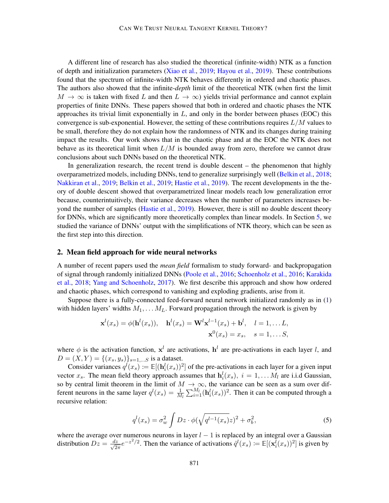A different line of research has also studied the theoretical (infinite-width) NTK as a function of depth and initialization parameters [\(Xiao et al.,](#page-17-5) [2019;](#page-17-5) [Hayou et al.,](#page-16-9) [2019\)](#page-16-9). These contributions found that the spectrum of infinite-width NTK behaves differently in ordered and chaotic phases. The authors also showed that the infinite-*depth* limit of the theoretical NTK (when first the limit  $M \to \infty$  is taken with fixed L and then  $L \to \infty$ ) yields trivial performance and cannot explain properties of finite DNNs. These papers showed that both in ordered and chaotic phases the NTK approaches its trivial limit exponentially in  $L$ , and only in the border between phases (EOC) this convergence is sub-exponential. However, the setting of these contributions requires  $L/M$  values to be small, therefore they do not explain how the randomness of NTK and its changes during training impact the results. Our work shows that in the chaotic phase and at the EOC the NTK does not behave as its theoretical limit when  $L/M$  is bounded away from zero, therefore we cannot draw conclusions about such DNNs based on the theoretical NTK.

In generalization research, the recent trend is double descent – the phenomenon that highly overparametrized models, including DNNs, tend to generalize surprisingly well [\(Belkin et al.,](#page-15-6) [2018;](#page-15-6) [Nakkiran et al.,](#page-16-10) [2019;](#page-16-10) [Belkin et al.,](#page-15-7) [2019;](#page-15-7) [Hastie et al.,](#page-16-11) [2019\)](#page-16-11). The recent developments in the theory of double descent showed that overparametrized linear models reach low generalization error because, counterintuitively, their variance decreases when the number of parameters increases beyond the number of samples [\(Hastie et al.,](#page-16-11) [2019\)](#page-16-11). However, there is still no double descent theory for DNNs, which are significantly more theoretically complex than linear models. In Section [5,](#page-11-0) we studied the variance of DNNs' output with the simplifications of NTK theory, which can be seen as the first step into this direction.

#### <span id="page-3-1"></span>2. Mean field approach for wide neural networks

A number of recent papers used the *mean field* formalism to study forward- and backpropagation of signal through randomly initialized DNNs [\(Poole et al.,](#page-17-2) [2016;](#page-17-2) [Schoenholz et al.,](#page-17-3) [2016;](#page-17-3) [Karakida](#page-16-12) [et al.,](#page-16-12) [2018;](#page-16-12) [Yang and Schoenholz,](#page-17-6) [2017\)](#page-17-6). We first describe this approach and show how ordered and chaotic phases, which correspond to vanishing and exploding gradients, arise from it.

Suppose there is a fully-connected feed-forward neural network initialized randomly as in [\(1\)](#page-0-1) with hidden layers' widths  $M_1, \ldots, M_L$ . Forward propagation through the network is given by

$$
\mathbf{x}^{l}(x_{s}) = \phi(\mathbf{h}^{l}(x_{s})), \quad \mathbf{h}^{l}(x_{s}) = \mathbf{W}^{l} \mathbf{x}^{l-1}(x_{s}) + \mathbf{b}^{l}, \quad l = 1, \dots L,
$$

$$
\mathbf{x}^{0}(x_{s}) = x_{s}, \quad s = 1, \dots S,
$$

where  $\phi$  is the activation function,  $x^l$  are activations,  $h^l$  are pre-activations in each layer l, and  $D = (X, Y) = \{(x_s, y_s)\}_{s=1,...S}$  is a dataset.

Consider variances  $q^l(x_s) := \mathbb{E}[(\mathbf{h}_i^l(x_s))^2]$  of the pre-activations in each layer for a given input vector  $x_s$ . The mean field theory approach assumes that  $h_i^l(x_s)$ ,  $i = 1, \ldots M_l$  are i.i.d Gaussian, so by central limit theorem in the limit of  $M \to \infty$ , the variance can be seen as a sum over different neurons in the same layer  $q^l(x_s) = \frac{1}{M_l} \sum_{i=1}^{M_l} (\mathbf{h}_i^l(x_s))^2$ . Then it can be computed through a recursive relation:

<span id="page-3-0"></span>
$$
ql(xs) = \sigma_w^2 \int Dz \cdot \phi(\sqrt{q^{l-1}(x_s)}z)^2 + \sigma_b^2,
$$
 (5)

where the average over numerous neurons in layer  $l - 1$  is replaced by an integral over a Gaussian distribution  $Dz = \frac{dz}{\sqrt{2}}$  $\frac{dz}{2\pi}e^{-z^2/2}$ . Then the variance of activations  $\hat{q}^l(x_s) := \mathbb{E}[(\mathbf{x}_i^{\bar{l}}(x_s))^2]$  is given by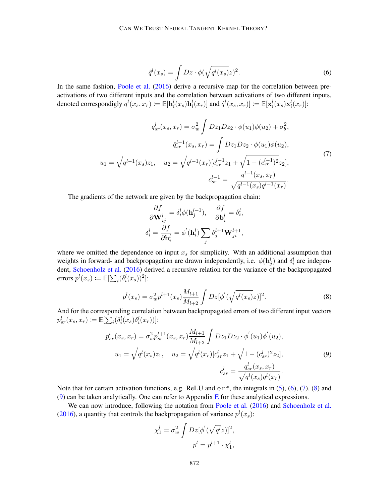<span id="page-4-0"></span>
$$
\hat{q}^l(x_s) = \int Dz \cdot \phi(\sqrt{q^l(x_s)}z)^2.
$$
\n(6)

In the same fashion, [Poole et al.](#page-17-2) [\(2016\)](#page-17-2) derive a recursive map for the correlation between preactivations of two different inputs and the correlation between activations of two different inputs, denoted correspondigly  $q^l(x_s, x_r) \coloneqq \mathbb{E}[\mathbf{h}_i^l(x_s) \mathbf{h}_i^l(x_r)]$  and  $\hat{q}^l(x_s, x_r)] \coloneqq \mathbb{E}[\mathbf{x}_i^l(x_s) \mathbf{x}_i^l(x_r)]$ :

$$
q_{sr}^{l}(x_s, x_r) = \sigma_w^2 \int Dz_1 Dz_2 \cdot \phi(u_1)\phi(u_2) + \sigma_b^2,
$$

$$
\hat{q}_{sr}^{l-1}(x_s, x_r) = \int Dz_1 Dz_2 \cdot \phi(u_1)\phi(u_2),
$$

$$
u_1 = \sqrt{q^{l-1}(x_s)}z_1, \quad u_2 = \sqrt{q^{l-1}(x_r)}[c_{sr}^{l-1}z_1 + \sqrt{1 - (c_{sr}^{l-1})^2}z_2],
$$

$$
c_{sr}^{l-1} = \frac{q^{l-1}(x_s, x_r)}{\sqrt{q^{l-1}(x_s)q^{l-1}(x_r)}}.
$$
(7)

<span id="page-4-1"></span>The gradients of the network are given by the backpropagation chain:

$$
\frac{\partial f}{\partial \mathbf{W}_{ij}^l} = \delta_i^l \phi(\mathbf{h}_j^{l-1}), \quad \frac{\partial f}{\partial \mathbf{b}_i^l} = \delta_i^l,
$$

$$
\delta_i^l = \frac{\partial f}{\partial \mathbf{h}_i^l} = \phi'(\mathbf{h}_i^l) \sum_j \delta_j^{l+1} \mathbf{W}_{ji}^{l+1},
$$

where we omitted the dependence on input  $x<sub>s</sub>$  for simplicity. With an additional assumption that weights in forward- and backpropagation are drawn independently, i.e.  $\phi(\mathbf{h}_j^l)$  and  $\delta_i^l$  are independent, [Schoenholz et al.](#page-17-3) [\(2016\)](#page-17-3) derived a recursive relation for the variance of the backpropagated errors  $p^l(x_s) \coloneqq \mathbb{E}[\sum_i (\delta_i^l(x_s))^2]$ :

<span id="page-4-2"></span>
$$
p^{l}(x_s) = \sigma_w^2 p^{l+1}(x_s) \frac{M_{l+1}}{M_{l+2}} \int Dz [\phi'(\sqrt{q^l(x_s)}z)]^2.
$$
 (8)

And for the corresponding correlation between backpropagated errors of two different input vectors  $p^l_{sr}(x_s, x_r) \coloneqq \mathbb{E}[\sum_i (\delta_i^l(x_s) \delta_i^l(x_r))]$ :

$$
p_{sr}^{l}(x_s, x_r) = \sigma_w^2 p_{sr}^{l+1}(x_s, x_r) \frac{M_{l+1}}{M_{l+2}} \int Dz_1 Dz_2 \cdot \phi'(u_1) \phi'(u_2),
$$
  

$$
u_1 = \sqrt{q^l(x_s)} z_1, \quad u_2 = \sqrt{q^l(x_r)} [c_{sr}^l z_1 + \sqrt{1 - (c_{sr}^l)^2} z_2],
$$
  

$$
c_{sr}^l = \frac{q_{sr}^l(x_s, x_r)}{\sqrt{q^l(x_s)q^l(x_r)}}.
$$
 (9)

<span id="page-4-3"></span>Note that for certain activation functions, e.g. ReLU and  $erf$ , the integrals in [\(5\)](#page-3-0), [\(6\)](#page-4-0), [\(7\)](#page-4-1), [\(8\)](#page-4-2) and [\(9\)](#page-4-3) can be taken analytically. One can refer to Appendix [E](#page-26-0) for these analytical expressions.

We can now introduce, following the notation from [Poole et al.](#page-17-2) [\(2016\)](#page-17-2) and [Schoenholz et al.](#page-17-3) [\(2016\)](#page-17-3), a quantity that controls the backpropagation of variance  $p^{l}(x_s)$ :

$$
\chi_1^l = \sigma_w^2 \int Dz [\phi'(\sqrt{q^l}z)]^2,
$$
  

$$
p^l = p^{l+1} \cdot \chi_1^l,
$$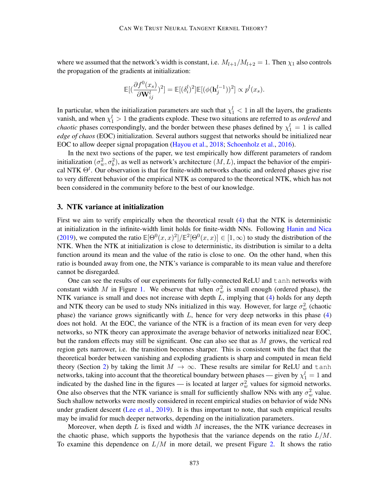where we assumed that the network's width is constant, i.e.  $M_{l+1}/M_{l+2} = 1$ . Then  $\chi_1$  also controls the propagation of the gradients at initialization:

$$
\mathbb{E}[(\frac{\partial f^0(x_s)}{\partial \mathbf{W}_{ij}^l})^2] = \mathbb{E}[(\delta_i^l)^2]\mathbb{E}[(\phi(\mathbf{h}_j^{l-1}))^2] \propto p^l(x_s).
$$

In particular, when the initialization parameters are such that  $\chi_1^l < 1$  in all the layers, the gradients vanish, and when  $\chi_1^l > 1$  the gradients explode. These two situations are referred to as *ordered* and *chaotic* phases correspondingly, and the border between these phases defined by  $\chi_1^l = 1$  is called *edge of chaos* (EOC) initialization. Several authors suggest that networks should be initialized near EOC to allow deeper signal propagation [\(Hayou et al.,](#page-16-13) [2018;](#page-16-13) [Schoenholz et al.,](#page-17-3) [2016\)](#page-17-3).

In the next two sections of the paper, we test empirically how different parameters of random initialization  $(\sigma_w^2, \sigma_b^2)$ , as well as network's architecture  $(M, L)$ , impact the behavior of the empirical NTK  $\Theta^t$ . Our observation is that for finite-width networks chaotic and ordered phases give rise to very different behavior of the empirical NTK as compared to the theoretical NTK, which has not been considered in the community before to the best of our knowledge.

#### <span id="page-5-0"></span>3. NTK variance at initialization

First we aim to verify empirically when the theoretical result [\(4\)](#page-1-2) that the NTK is deterministic at initialization in the infinite-width limit holds for finite-width NNs. Following [Hanin and Nica](#page-15-4) [\(2019\)](#page-15-4), we computed the ratio  $\mathbb{E}[\Theta^0(x,x)^2]/\mathbb{E}^2[\Theta^0(x,x)] \in [1,\infty)$  to study the distribution of the NTK. When the NTK at initialization is close to deterministic, its distribution is similar to a delta function around its mean and the value of the ratio is close to one. On the other hand, when this ratio is bounded away from one, the NTK's variance is comparable to its mean value and therefore cannot be disregarded.

One can see the results of our experiments for fully-connected ReLU and tanh networks with constant width M in Figure [1.](#page-6-0) We observe that when  $\sigma_w^2$  is small enough (ordered phase), the NTK variance is small and does not increase with depth  $L$ , implying that  $(4)$  holds for any depth and NTK theory can be used to study NNs initialized in this way. However, for large  $\sigma_w^2$  (chaotic phase) the variance grows significantly with  $L$ , hence for very deep networks in this phase  $(4)$ does not hold. At the EOC, the variance of the NTK is a fraction of its mean even for very deep networks, so NTK theory can approximate the average behavior of networks initialized near EOC, but the random effects may still be significant. One can also see that as  $M$  grows, the vertical red region gets narrower, i.e. the transition becomes sharper. This is consistent with the fact that the theoretical border between vanishing and exploding gradients is sharp and computed in mean field theory (Section [2\)](#page-3-1) by taking the limit  $M \to \infty$ . These results are similar for ReLU and tanh networks, taking into account that the theoretical boundary between phases — given by  $\chi_1^l = 1$  and indicated by the dashed line in the figures — is located at larger  $\sigma_w^2$  values for sigmoid networks. One also observes that the NTK variance is small for sufficiently shallow NNs with any  $\sigma_w^2$  value. Such shallow networks were mostly considered in recent empirical studies on behavior of wide NNs under gradient descent [\(Lee et al.,](#page-16-8) [2019\)](#page-16-8). It is thus important to note, that such empirical results may be invalid for much deeper networks, depending on the initialization parameters.

Moreover, when depth  $L$  is fixed and width  $M$  increases, the the NTK variance decreases in the chaotic phase, which supports the hypothesis that the variance depends on the ratio  $L/M$ . To examine this dependence on  $L/M$  in more detail, we present Figure [2.](#page-7-0) It shows the ratio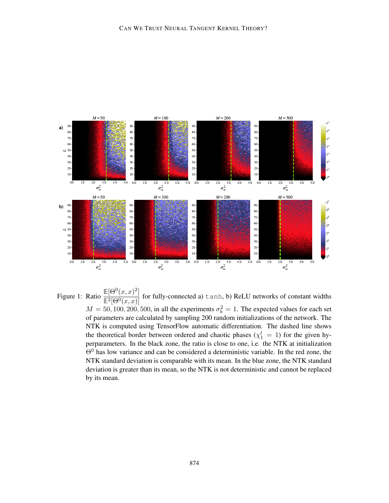

<span id="page-6-0"></span>Figure 1: Ratio  $\frac{\mathbb{E}[\Theta^0(x,x)^2]}{\mathbb{E}^2[\Theta^0(x,x)]}$  for fully-connected a) tanh, b) ReLU networks of constant widths  $M = 50, 100, 200, 500$ , in all the experiments  $\sigma_b^2 = 1$ . The expected values for each set of parameters are calculated by sampling 200 random initializations of the network. The NTK is computed using TensorFlow automatic differentiation. The dashed line shows the theoretical border between ordered and chaotic phases  $(\chi_1^l = 1)$  for the given hyperparameters. In the black zone, the ratio is close to one, i.e. the NTK at initialization  $Θ$ <sup>0</sup> has low variance and can be considered a deterministic variable. In the red zone, the NTK standard deviation is comparable with its mean. In the blue zone, the NTK standard deviation is greater than its mean, so the NTK is not deterministic and cannot be replaced by its mean.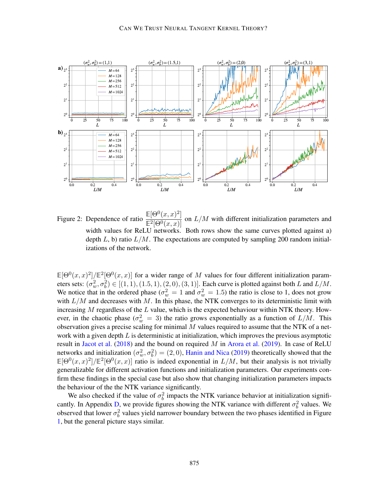

<span id="page-7-0"></span>Figure 2: Dependence of ratio  $\frac{\mathbb{E}[\Theta^0(x,x)^2]}{\mathbb{E}^2[\Theta^0(x,x)]}$  on  $L/M$  with different initialization parameters and width values for ReLU networks. Both rows show the same curves plotted against a) depth  $L$ , b) ratio  $L/M$ . The expectations are computed by sampling 200 random initializations of the network.

 $\mathbb{E}[\Theta^0(x,x)^2]/\mathbb{E}^2[\Theta^0(x,x)]$  for a wider range of M values for four different initialization parameters sets:  $(\sigma_w^2, \sigma_b^2) \in [(1, 1), (1.5, 1), (2, 0), (3, 1)]$ . Each curve is plotted against both L and  $L/M$ . We notice that in the ordered phase ( $\sigma_w^2 = 1$  and  $\sigma_w^2 = 1.5$ ) the ratio is close to 1, does not grow with  $L/M$  and decreases with M. In this phase, the NTK converges to its deterministic limit with increasing  $M$  regardless of the  $L$  value, which is the expected behaviour within NTK theory. However, in the chaotic phase ( $\sigma_w^2 = 3$ ) the ratio grows exponentially as a function of  $L/M$ . This observation gives a precise scaling for minimal  $M$  values required to assume that the NTK of a network with a given depth  $L$  is deterministic at initialization, which improves the previous asymptotic result in [Jacot et al.](#page-16-6) [\(2018\)](#page-16-6) and the bound on required  $M$  in [Arora et al.](#page-15-2) [\(2019\)](#page-15-2). In case of ReLU networks and initialization  $(\sigma_w^2, \sigma_b^2) = (2, 0)$ , [Hanin and Nica](#page-15-4) [\(2019\)](#page-15-4) theoretically showed that the  $\mathbb{E}[\Theta^0(x,x)^2]/\mathbb{E}^2[\Theta^0(x,x)]$  ratio is indeed exponential in  $L/M$ , but their analysis is not trivially generalizable for different activation functions and initialization parameters. Our experiments confirm these findings in the special case but also show that changing initialization parameters impacts the behaviour of the the NTK variance significantly.

We also checked if the value of  $\sigma_b^2$  impacts the NTK variance behavior at initialization signifi-cantly. In Appendix [D,](#page-20-0) we provide figures showing the NTK variance with different  $\sigma_b^2$  values. We observed that lower  $\sigma_b^2$  values yield narrower boundary between the two phases identified in Figure [1,](#page-6-0) but the general picture stays similar.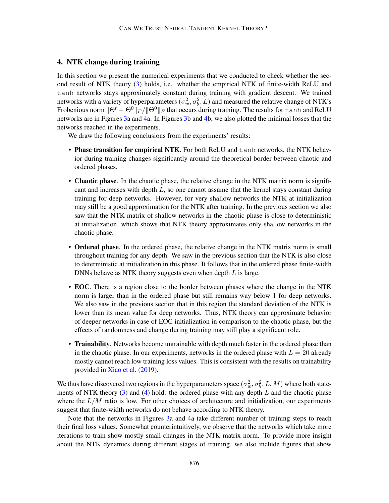# <span id="page-8-0"></span>4. NTK change during training

In this section we present the numerical experiments that we conducted to check whether the second result of NTK theory [\(3\)](#page-1-1) holds, i.e. whether the empirical NTK of finite-width ReLU and tanh networks stays approximately constant during training with gradient descent. We trained networks with a variety of hyperparameters  $(\sigma_w^2, \sigma_b^2, L)$  and measured the relative change of NTK's Frobenious norm  $\|\Theta^t - \Theta^0\|_F / \|\Theta^0\|_F$  that occurs during training. The results for tanh and ReLU networks are in Figures [3a](#page-9-0) and [4a](#page-10-0). In Figures [3b](#page-9-0) and [4b](#page-10-0), we also plotted the minimal losses that the networks reached in the experiments.

We draw the following conclusions from the experiments' results:

- Phase transition for empirical NTK. For both ReLU and tanh networks, the NTK behavior during training changes significantly around the theoretical border between chaotic and ordered phases.
- Chaotic phase. In the chaotic phase, the relative change in the NTK matrix norm is significant and increases with depth  $L$ , so one cannot assume that the kernel stays constant during training for deep networks. However, for very shallow networks the NTK at initialization may still be a good approximation for the NTK after training. In the previous section we also saw that the NTK matrix of shallow networks in the chaotic phase is close to deterministic at initialization, which shows that NTK theory approximates only shallow networks in the chaotic phase.
- Ordered phase. In the ordered phase, the relative change in the NTK matrix norm is small throughout training for any depth. We saw in the previous section that the NTK is also close to deterministic at initialization in this phase. It follows that in the ordered phase finite-width DNNs behave as NTK theory suggests even when depth  $L$  is large.
- EOC. There is a region close to the border between phases where the change in the NTK norm is larger than in the ordered phase but still remains way below 1 for deep networks. We also saw in the previous section that in this region the standard deviation of the NTK is lower than its mean value for deep networks. Thus, NTK theory can approximate behavior of deeper networks in case of EOC initialization in comparison to the chaotic phase, but the effects of randomness and change during training may still play a significant role.
- Trainability. Networks become untrainable with depth much faster in the ordered phase than in the chaotic phase. In our experiments, networks in the ordered phase with  $L = 20$  already mostly cannot reach low training loss values. This is consistent with the results on trainability provided in [Xiao et al.](#page-17-5) [\(2019\)](#page-17-5).

We thus have discovered two regions in the hyperparameters space  $(\sigma_w^2, \sigma_b^2, L, M)$  where both statements of NTK theory  $(3)$  and  $(4)$  hold: the ordered phase with any depth L and the chaotic phase where the  $L/M$  ratio is low. For other choices of architecture and initialization, our experiments suggest that finite-width networks do not behave according to NTK theory.

Note that the networks in Figures [3a](#page-9-0) and [4a](#page-10-0) take different number of training steps to reach their final loss values. Somewhat counterintuitively, we observe that the networks which take more iterations to train show mostly small changes in the NTK matrix norm. To provide more insight about the NTK dynamics during different stages of training, we also include figures that show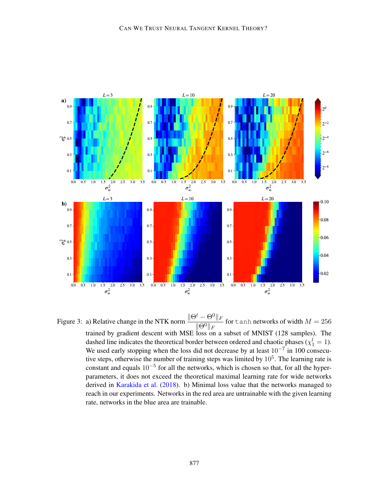

<span id="page-9-0"></span>Figure 3: a) Relative change in the NTK norm  $\frac{\|\Theta^t - \Theta^0\|_F}{\|\Theta^0\|_F}$  $\frac{C}{\|\Theta^0\|_F}$  for tanh networks of width  $M = 256$ trained by gradient descent with MSE loss on a subset of MNIST (128 samples). The dashed line indicates the theoretical border between ordered and chaotic phases ( $\chi_1^l = 1$ ). We used early stopping when the loss did not decrease by at least  $10^{-7}$  in 100 consecutive steps, otherwise the number of training steps was limited by  $10<sup>5</sup>$ . The learning rate is constant and equals  $10^{-5}$  for all the networks, which is chosen so that, for all the hyperparameters, it does not exceed the theoretical maximal learning rate for wide networks derived in [Karakida et al.](#page-16-12) [\(2018\)](#page-16-12). b) Minimal loss value that the networks managed to reach in our experiments. Networks in the red area are untrainable with the given learning rate, networks in the blue area are trainable.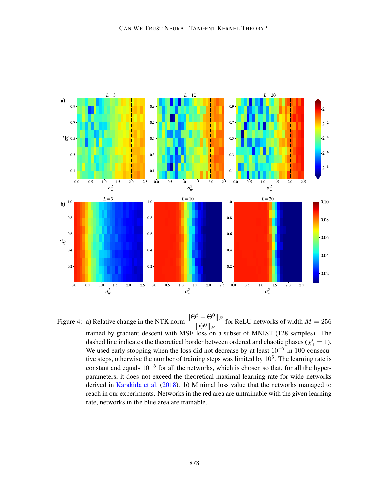

<span id="page-10-0"></span>Figure 4: a) Relative change in the NTK norm  $\frac{\|\Theta^t - \Theta^0\|_F}{\|\Theta^0\|_F}$  $\frac{C}{\|\Theta^0\|_F}$  for ReLU networks of width  $M = 256$ trained by gradient descent with MSE loss on a subset of MNIST (128 samples). The dashed line indicates the theoretical border between ordered and chaotic phases ( $\chi_1^l = 1$ ). We used early stopping when the loss did not decrease by at least  $10^{-7}$  in 100 consecutive steps, otherwise the number of training steps was limited by  $10<sup>5</sup>$ . The learning rate is constant and equals  $10^{-5}$  for all the networks, which is chosen so that, for all the hyperparameters, it does not exceed the theoretical maximal learning rate for wide networks derived in [Karakida et al.](#page-16-12) [\(2018\)](#page-16-12). b) Minimal loss value that the networks managed to reach in our experiments. Networks in the red area are untrainable with the given learning rate, networks in the blue area are trainable.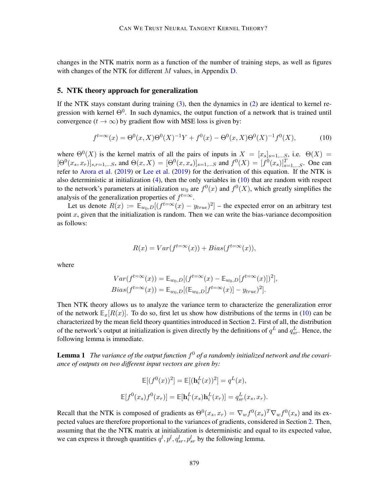changes in the NTK matrix norm as a function of the number of training steps, as well as figures with changes of the NTK for different  $M$  values, in Appendix  $D$ .

#### <span id="page-11-0"></span>5. NTK theory approach for generalization

If the NTK stays constant during training [\(3\)](#page-1-1), then the dynamics in [\(2\)](#page-1-0) are identical to kernel regression with kernel  $\Theta^0$ . In such dynamics, the output function of a network that is trained until convergence  $(t \to \infty)$  by gradient flow with MSE loss is given by:

$$
f^{t=\infty}(x) = \Theta^0(x, X)\Theta^0(X)^{-1}Y + f^0(x) - \Theta^0(x, X)\Theta^0(X)^{-1}f^0(X),
$$
 (10)

<span id="page-11-1"></span>where  $\Theta^{0}(X)$  is the kernel matrix of all the pairs of inputs in  $X = [x_{s}]_{s=1,...S}$ , i.e.  $\Theta(X) =$  $[\Theta^0(x_s, x_r)]_{s,r=1,...S}$ , and  $\Theta(x, X) = [\Theta^0(x, x_s)]_{s=1,...S}$  and  $f^0(X) = [f^0(x_s)]_{s=1,...S}^T$ . One can refer to [Arora et al.](#page-15-2) [\(2019\)](#page-15-2) or [Lee et al.](#page-16-8) [\(2019\)](#page-16-8) for the derivation of this equation. If the NTK is also deterministic at initialization  $(4)$ , then the only variables in  $(10)$  that are random with respect to the network's parameters at initialization  $w_0$  are  $f^0(x)$  and  $f^0(X)$ , which greatly simplifies the analysis of the generalization properties of  $f^{t=\infty}$ .

Let us denote  $R(x) := \mathbb{E}_{w_0,D}[(f^{t=\infty}(x) - y_{true})^2]$  – the expected error on an arbitrary test point  $x$ , given that the initialization is random. Then we can write the bias-variance decomposition as follows:

$$
R(x) = Var(f^{t=\infty}(x)) + Bias(f^{t=\infty}(x)),
$$

where

$$
Var(f^{t=\infty}(x)) = \mathbb{E}_{w_0,D}[(f^{t=\infty}(x) - \mathbb{E}_{w_0,D}[f^{t=\infty}(x)])^2],
$$
  
\n
$$
Bias(f^{t=\infty}(x)) = \mathbb{E}_{w_0,D}[(\mathbb{E}_{w_0,D}[f^{t=\infty}(x)] - y_{true})^2].
$$

Then NTK theory allows us to analyze the variance term to characterize the generalization error of the network  $\mathbb{E}_{x}[R(x)]$ . To do so, first let us show how distributions of the terms in [\(10\)](#page-11-1) can be characterized by the mean field theory quantities introduced in Section [2.](#page-3-1) First of all, the distribution of the network's output at initialization is given directly by the definitions of  $q^L$  and  $q^L_{sr}$ . Hence, the following lemma is immediate.

<span id="page-11-3"></span>Lemma 1 *The variance of the output function* f <sup>0</sup> *of a randomly initialized network and the covariance of outputs on two different input vectors are given by:*

<span id="page-11-2"></span>
$$
\mathbb{E}[(f^{0}(x))^{2}] = \mathbb{E}[(\mathbf{h}_{i}^{L}(x))^{2}] = q^{L}(x),
$$
  

$$
\mathbb{E}[f^{0}(x_{s})f^{0}(x_{r})] = \mathbb{E}[\mathbf{h}_{i}^{L}(x_{s})\mathbf{h}_{i}^{L}(x_{r})] = q_{sr}^{L}(x_{s}, x_{r}).
$$

Recall that the NTK is composed of gradients as  $\Theta^0(x_s, x_r) = \nabla_w f^0(x_s)^T \nabla_w f^0(x_s)$  and its expected values are therefore proportional to the variances of gradients, considered in Section [2.](#page-3-1) Then, assuming that the the NTK matrix at initialization is deterministic and equal to its expected value, we can express it through quantities  $q^l, p^l, q^l_{sr}, p^l_{sr}$  by the following lemma.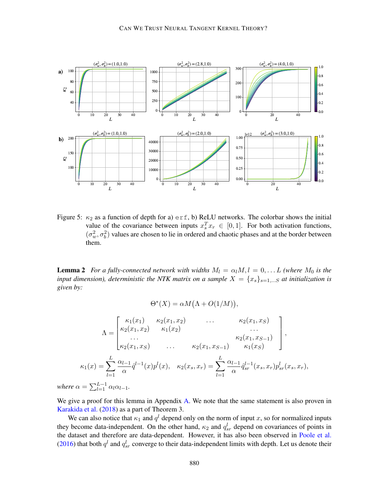

<span id="page-12-0"></span>Figure 5:  $\kappa_2$  as a function of depth for a) erf, b) ReLU networks. The colorbar shows the initial value of the covariance between inputs  $x_s^T x_r \in [0, 1]$ . For both activation functions,  $(\sigma_w^2, \sigma_b^2)$  values are chosen to lie in ordered and chaotic phases and at the border between them.

**Lemma 2** *For a fully-connected network with widths*  $M_l = \alpha_l M, l = 0, \ldots L$  *(where*  $M_0$  *is the input dimension), deterministic the NTK matrix on a sample*  $X = \{x_s\}_{s=1,\dots,S}$  *at initialization is given by:*

$$
\Theta^*(X) = \alpha M(\Lambda + O(1/M)),
$$
  
\n
$$
\Lambda = \begin{bmatrix}\n\kappa_1(x_1) & \kappa_2(x_1, x_2) & \cdots & \kappa_2(x_1, x_S) \\
\kappa_2(x_1, x_2) & \kappa_1(x_2) & \cdots & \kappa_2(x_1, x_{S-1}) \\
\vdots & \vdots & \ddots & \vdots \\
\kappa_2(x_1, x_S) & \cdots & \kappa_2(x_1, x_{S-1}) & \kappa_1(x_S)\n\end{bmatrix},
$$
  
\n
$$
\kappa_1(x) = \sum_{l=1}^{L} \frac{\alpha_{l-1}}{\alpha} \hat{q}^{l-1}(x) p^l(x), \quad \kappa_2(x_s, x_r) = \sum_{l=1}^{L} \frac{\alpha_{l-1}}{\alpha} \hat{q}^{l-1}_{sr}(x_s, x_r) p^l_{sr}(x_s, x_r),
$$
  
\n
$$
\gamma = \sum_{l=1}^{L-1} \frac{\alpha_{l-1}}{\alpha} \hat{q}^{l-1}(x) p^l(x).
$$

*where*  $\epsilon$  $\sum_{l=1}$  $\alpha_l \alpha_{l-1}$ 

We give a proof for this lemma in Appendix [A.](#page-17-7) We note that the same statement is also proven in [Karakida et al.](#page-16-12) [\(2018\)](#page-16-12) as a part of Theorem 3.

We can also notice that  $\kappa_1$  and  $q^l$  depend only on the norm of input x, so for normalized inputs they become data-independent. On the other hand,  $\kappa_2$  and  $q_{sr}^l$  depend on covariances of points in the dataset and therefore are data-dependent. However, it has also been observed in [Poole et al.](#page-17-2) [\(2016\)](#page-17-2) that both  $q^l$  and  $q^l_{sr}$  converge to their data-independent limits with depth. Let us denote their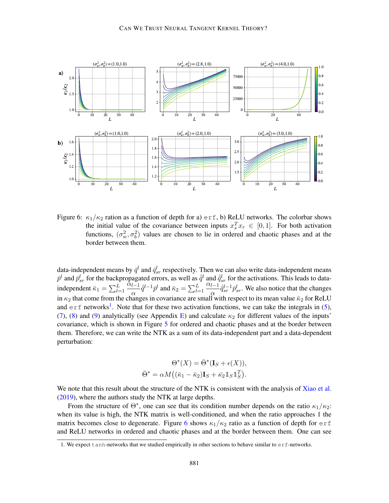

<span id="page-13-1"></span>Figure 6:  $\kappa_1/\kappa_2$  ration as a function of depth for a) external, BeLU networks. The colorbar shows the initial value of the covariance between inputs  $x_s^T x_r \in [0,1]$ . For both activation functions,  $(\sigma_w^2, \sigma_b^2)$  values are chosen to lie in ordered and chaotic phases and at the border between them.

data-independent means by  $\bar{q}^l$  and  $\bar{q}^l_{sr}$  respectively. Then we can also write data-independent means  $\bar{p}^l$  and  $\bar{p}^l_{sr}$  for the backpropagated errors, as well as  $\hat{q}^l$  and  $\hat{q}^l_{sr}$  for the activations. This leads to dataindependent  $\bar{\kappa}_1 = \sum_{l=1}^L$  $\alpha_{l-1}$  $\frac{l-1}{\alpha} \hat{q}^{l-1} \bar{p}^l$  and  $\bar{\kappa}_2 = \sum_{l=1}^L$  $\alpha_{l-1}$  $\frac{l-1}{\alpha} \hat{q}_{sr}^{l-1} \bar{p}_{sr}^{l}$ . We also notice that the changes in  $\kappa_2$  that come from the changes in covariance are small with respect to its mean value  $\bar{\kappa}_2$  for ReLU and  $erf$  networks<sup>[1](#page-13-0)</sup>. Note that for these two activation functions, we can take the integrals in [\(5\)](#page-3-0), [\(7\)](#page-4-1), [\(8\)](#page-4-2) and [\(9\)](#page-4-3) analytically (see Appendix [E\)](#page-26-0) and calculate  $\kappa_2$  for different values of the inputs' covariance, which is shown in Figure [5](#page-12-0) for ordered and chaotic phases and at the border between them. Therefore, we can write the NTK as a sum of its data-independent part and a data-dependent perturbation:

$$
\Theta^*(X) = \bar{\Theta}^*(\mathbf{I}_S + \epsilon(X)),
$$
  

$$
\bar{\Theta}^* = \alpha M((\bar{\kappa}_1 - \bar{\kappa}_2)\mathbf{I}_S + \bar{\kappa}_2 \mathbb{1}_S \mathbb{1}_S^T).
$$

We note that this result about the structure of the NTK is consistent with the analysis of [Xiao et al.](#page-17-5) [\(2019\)](#page-17-5), where the authors study the NTK at large depths.

From the structure of  $\Theta^*$ , one can see that its condition number depends on the ratio  $\kappa_1/\kappa_2$ : when its value is high, the NTK matrix is well-conditioned, and when the ratio approaches 1 the matrix becomes close to degenerate. Figure [6](#page-13-1) shows  $\kappa_1/\kappa_2$  ratio as a function of depth for exf and ReLU networks in ordered and chaotic phases and at the border between them. One can see

<span id="page-13-0"></span><sup>1.</sup> We expect tanh-networks that we studied empirically in other sections to behave similar to erf-networks.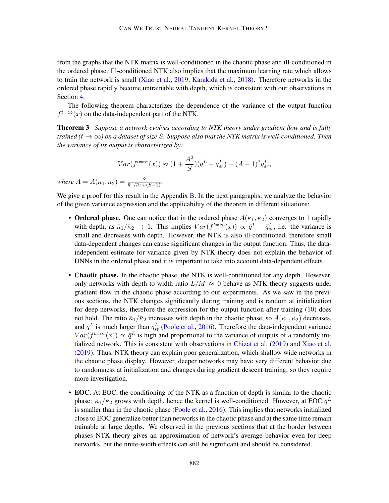from the graphs that the NTK matrix is well-conditioned in the chaotic phase and ill-conditioned in the ordered phase. Ill-conditioned NTK also implies that the maximum learning rate which allows to train the network is small [\(Xiao et al.,](#page-17-5) [2019;](#page-17-5) [Karakida et al.,](#page-16-12) [2018\)](#page-16-12). Therefore networks in the ordered phase rapidly become untrainable with depth, which is consistent with our observations in Section [4.](#page-8-0)

The following theorem characterizes the dependence of the variance of the output function  $f^{t=\infty}(x)$  on the data-independent part of the NTK.

Theorem 3 *Suppose a network evolves according to NTK theory under gradient flow and is fully trained (t*  $\rightarrow \infty$ *) on a dataset of size* S. Suppose also that the NTK matrix is well-conditioned. Then *the variance of its output is characterized by:*

<span id="page-14-0"></span>
$$
Var(f^{t=\infty}(x)) \approx (1 + \frac{A^2}{S})(\bar{q}^L - \bar{q}_{sr}^L) + (A - 1)^2 \bar{q}_{sr}^L,
$$

 $where A = A(\kappa_1, \kappa_2) = \frac{S}{\bar{\kappa}_1/\bar{\kappa}_2 + (S-1)}$ .

We give a proof for this result in the Appendix [B.](#page-18-0) In the next paragraphs, we analyze the behavior of the given variance expression and the applicability of the theorem in different situations:

- Ordered phase. One can notice that in the ordered phase  $A(\kappa_1, \kappa_2)$  converges to 1 rapidly with depth, as  $\bar{\kappa}_1/\bar{\kappa}_2 \to 1$ . This implies  $Var(f^{t=\infty}(x)) \propto \bar{q}^L - \bar{q}_{sr}^L$ , i.e. the variance is small and decreases with depth. However, the NTK is also ill-conditioned, therefore small data-dependent changes can cause significant changes in the output function. Thus, the dataindependent estimate for variance given by NTK theory does not explain the behavior of DNNs in the ordered phase and it is important to take into account data-dependent effects.
- Chaotic phase. In the chaotic phase, the NTK is well-conditioned for any depth. However, only networks with depth to width ratio  $L/M \approx 0$  behave as NTK theory suggests under gradient flow in the chaotic phase according to our experiments. As we saw in the previous sections, the NTK changes significantly during training and is random at initialization for deep networks, therefore the expression for the output function after training [\(10\)](#page-11-1) does not hold. The ratio  $\bar{\kappa}_1/\bar{\kappa}_2$  increases with depth in the chaotic phase, so  $A(\kappa_1, \kappa_2)$  decreases, and  $\bar{q}^L$  is much larger than  $\bar{q}^L_{st}$  [\(Poole et al.,](#page-17-2) [2016\)](#page-17-2). Therefore the data-independent variance  $Var(f^{t=\infty}(x)) \propto \bar{q}^L$  is high and proportional to the variance of outputs of a randomly initialized network. This is consistent with observations in [Chizat et al.](#page-15-3) [\(2019\)](#page-15-3) and [Xiao et al.](#page-17-5) [\(2019\)](#page-17-5). Thus, NTK theory can explain poor generalization, which shallow wide networks in the chaotic phase display. However, deeper networks may have very different behavior due to randomness at initialization and changes during gradient descent training, so they require more investigation.
- **EOC.** At EOC, the conditioning of the NTK as a function of depth is similar to the chaotic phase:  $\bar{\kappa}_1/\bar{\kappa}_2$  grows with depth, hence the kernel is well-conditioned. However, at EOC  $\bar{q}^L$ is smaller than in the chaotic phase [\(Poole et al.,](#page-17-2) [2016\)](#page-17-2). This implies that networks initialized close to EOC generalize better than networks in the chaotic phase and at the same time remain trainable at large depths. We observed in the previous sections that at the border between phases NTK theory gives an approximation of network's average behavior even for deep networks, but the finite-width effects can still be significant and should be considered.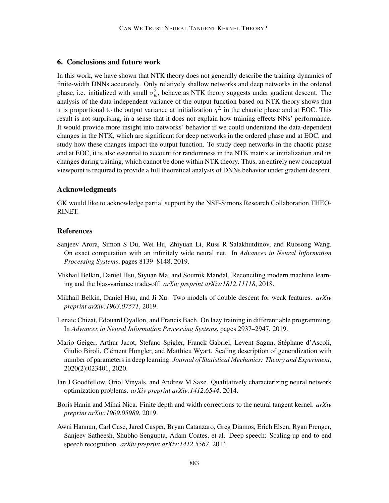## 6. Conclusions and future work

In this work, we have shown that NTK theory does not generally describe the training dynamics of finite-width DNNs accurately. Only relatively shallow networks and deep networks in the ordered phase, i.e. initialized with small  $\sigma_w^2$ , behave as NTK theory suggests under gradient descent. The analysis of the data-independent variance of the output function based on NTK theory shows that it is proportional to the output variance at initialization  $q<sup>L</sup>$  in the chaotic phase and at EOC. This result is not surprising, in a sense that it does not explain how training effects NNs' performance. It would provide more insight into networks' behavior if we could understand the data-dependent changes in the NTK, which are significant for deep networks in the ordered phase and at EOC, and study how these changes impact the output function. To study deep networks in the chaotic phase and at EOC, it is also essential to account for randomness in the NTK matrix at initialization and its changes during training, which cannot be done within NTK theory. Thus, an entirely new conceptual viewpoint is required to provide a full theoretical analysis of DNNs behavior under gradient descent.

#### Acknowledgments

GK would like to acknowledge partial support by the NSF-Simons Research Collaboration THEO-RINET.

## References

- <span id="page-15-2"></span>Sanjeev Arora, Simon S Du, Wei Hu, Zhiyuan Li, Russ R Salakhutdinov, and Ruosong Wang. On exact computation with an infinitely wide neural net. In *Advances in Neural Information Processing Systems*, pages 8139–8148, 2019.
- <span id="page-15-6"></span>Mikhail Belkin, Daniel Hsu, Siyuan Ma, and Soumik Mandal. Reconciling modern machine learning and the bias-variance trade-off. *arXiv preprint arXiv:1812.11118*, 2018.
- <span id="page-15-7"></span>Mikhail Belkin, Daniel Hsu, and Ji Xu. Two models of double descent for weak features. *arXiv preprint arXiv:1903.07571*, 2019.
- <span id="page-15-3"></span>Lenaic Chizat, Edouard Oyallon, and Francis Bach. On lazy training in differentiable programming. In *Advances in Neural Information Processing Systems*, pages 2937–2947, 2019.
- <span id="page-15-5"></span>Mario Geiger, Arthur Jacot, Stefano Spigler, Franck Gabriel, Levent Sagun, Stephane d'Ascoli, ´ Giulio Biroli, Clément Hongler, and Matthieu Wyart. Scaling description of generalization with number of parameters in deep learning. *Journal of Statistical Mechanics: Theory and Experiment*, 2020(2):023401, 2020.
- <span id="page-15-1"></span>Ian J Goodfellow, Oriol Vinyals, and Andrew M Saxe. Qualitatively characterizing neural network optimization problems. *arXiv preprint arXiv:1412.6544*, 2014.
- <span id="page-15-4"></span>Boris Hanin and Mihai Nica. Finite depth and width corrections to the neural tangent kernel. *arXiv preprint arXiv:1909.05989*, 2019.
- <span id="page-15-0"></span>Awni Hannun, Carl Case, Jared Casper, Bryan Catanzaro, Greg Diamos, Erich Elsen, Ryan Prenger, Sanjeev Satheesh, Shubho Sengupta, Adam Coates, et al. Deep speech: Scaling up end-to-end speech recognition. *arXiv preprint arXiv:1412.5567*, 2014.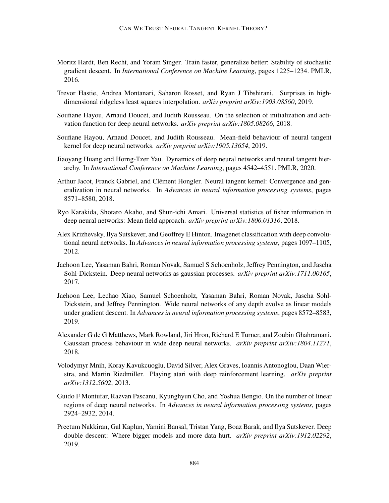- <span id="page-16-3"></span>Moritz Hardt, Ben Recht, and Yoram Singer. Train faster, generalize better: Stability of stochastic gradient descent. In *International Conference on Machine Learning*, pages 1225–1234. PMLR, 2016.
- <span id="page-16-11"></span>Trevor Hastie, Andrea Montanari, Saharon Rosset, and Ryan J Tibshirani. Surprises in highdimensional ridgeless least squares interpolation. *arXiv preprint arXiv:1903.08560*, 2019.
- <span id="page-16-13"></span>Soufiane Hayou, Arnaud Doucet, and Judith Rousseau. On the selection of initialization and activation function for deep neural networks. *arXiv preprint arXiv:1805.08266*, 2018.
- <span id="page-16-9"></span>Soufiane Hayou, Arnaud Doucet, and Judith Rousseau. Mean-field behaviour of neural tangent kernel for deep neural networks. *arXiv preprint arXiv:1905.13654*, 2019.
- <span id="page-16-7"></span>Jiaoyang Huang and Horng-Tzer Yau. Dynamics of deep neural networks and neural tangent hierarchy. In *International Conference on Machine Learning*, pages 4542–4551. PMLR, 2020.
- <span id="page-16-6"></span>Arthur Jacot, Franck Gabriel, and Clément Hongler. Neural tangent kernel: Convergence and generalization in neural networks. In *Advances in neural information processing systems*, pages 8571–8580, 2018.
- <span id="page-16-12"></span>Ryo Karakida, Shotaro Akaho, and Shun-ichi Amari. Universal statistics of fisher information in deep neural networks: Mean field approach. *arXiv preprint arXiv:1806.01316*, 2018.
- <span id="page-16-0"></span>Alex Krizhevsky, Ilya Sutskever, and Geoffrey E Hinton. Imagenet classification with deep convolutional neural networks. In *Advances in neural information processing systems*, pages 1097–1105, 2012.
- <span id="page-16-4"></span>Jaehoon Lee, Yasaman Bahri, Roman Novak, Samuel S Schoenholz, Jeffrey Pennington, and Jascha Sohl-Dickstein. Deep neural networks as gaussian processes. *arXiv preprint arXiv:1711.00165*, 2017.
- <span id="page-16-8"></span>Jaehoon Lee, Lechao Xiao, Samuel Schoenholz, Yasaman Bahri, Roman Novak, Jascha Sohl-Dickstein, and Jeffrey Pennington. Wide neural networks of any depth evolve as linear models under gradient descent. In *Advances in neural information processing systems*, pages 8572–8583, 2019.
- <span id="page-16-5"></span>Alexander G de G Matthews, Mark Rowland, Jiri Hron, Richard E Turner, and Zoubin Ghahramani. Gaussian process behaviour in wide deep neural networks. *arXiv preprint arXiv:1804.11271*, 2018.
- <span id="page-16-1"></span>Volodymyr Mnih, Koray Kavukcuoglu, David Silver, Alex Graves, Ioannis Antonoglou, Daan Wierstra, and Martin Riedmiller. Playing atari with deep reinforcement learning. *arXiv preprint arXiv:1312.5602*, 2013.
- <span id="page-16-2"></span>Guido F Montufar, Razvan Pascanu, Kyunghyun Cho, and Yoshua Bengio. On the number of linear regions of deep neural networks. In *Advances in neural information processing systems*, pages 2924–2932, 2014.
- <span id="page-16-10"></span>Preetum Nakkiran, Gal Kaplun, Yamini Bansal, Tristan Yang, Boaz Barak, and Ilya Sutskever. Deep double descent: Where bigger models and more data hurt. *arXiv preprint arXiv:1912.02292*, 2019.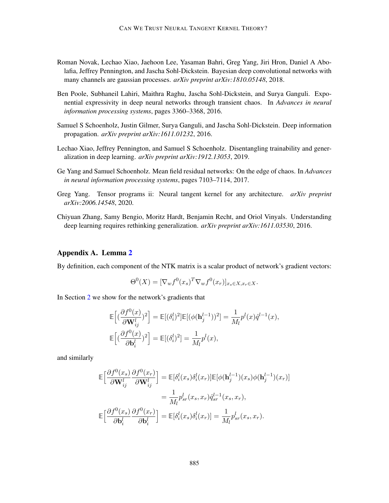- <span id="page-17-1"></span>Roman Novak, Lechao Xiao, Jaehoon Lee, Yasaman Bahri, Greg Yang, Jiri Hron, Daniel A Abolafia, Jeffrey Pennington, and Jascha Sohl-Dickstein. Bayesian deep convolutional networks with many channels are gaussian processes. *arXiv preprint arXiv:1810.05148*, 2018.
- <span id="page-17-2"></span>Ben Poole, Subhaneil Lahiri, Maithra Raghu, Jascha Sohl-Dickstein, and Surya Ganguli. Exponential expressivity in deep neural networks through transient chaos. In *Advances in neural information processing systems*, pages 3360–3368, 2016.
- <span id="page-17-3"></span>Samuel S Schoenholz, Justin Gilmer, Surya Ganguli, and Jascha Sohl-Dickstein. Deep information propagation. *arXiv preprint arXiv:1611.01232*, 2016.
- <span id="page-17-5"></span>Lechao Xiao, Jeffrey Pennington, and Samuel S Schoenholz. Disentangling trainability and generalization in deep learning. *arXiv preprint arXiv:1912.13053*, 2019.
- <span id="page-17-6"></span>Ge Yang and Samuel Schoenholz. Mean field residual networks: On the edge of chaos. In *Advances in neural information processing systems*, pages 7103–7114, 2017.
- <span id="page-17-4"></span>Greg Yang. Tensor programs ii: Neural tangent kernel for any architecture. *arXiv preprint arXiv:2006.14548*, 2020.
- <span id="page-17-0"></span>Chiyuan Zhang, Samy Bengio, Moritz Hardt, Benjamin Recht, and Oriol Vinyals. Understanding deep learning requires rethinking generalization. *arXiv preprint arXiv:1611.03530*, 2016.

## <span id="page-17-7"></span>Appendix A. Lemma [2](#page-11-2)

By definition, each component of the NTK matrix is a scalar product of network's gradient vectors:

$$
\Theta^{0}(X) = [\nabla_{w} f^{0}(x_{s})^{T} \nabla_{w} f^{0}(x_{r})]_{x_{s} \in X, x_{r} \in X}.
$$

In Section [2](#page-3-1) we show for the network's gradients that

$$
\begin{aligned} &\mathbb{E}\Big[(\frac{\partial f^0(x)}{\partial \mathbf{W}_{ij}^l})^2\Big] = \mathbb{E}[(\delta_i^l)^2]\mathbb{E}[(\phi(\mathbf{h}_j^{l-1}))^2] = \frac{1}{M_l}p^l(x)\hat{q}^{l-1}(x),\\ &\mathbb{E}\Big[(\frac{\partial f^0(x)}{\partial \mathbf{b}_i^l})^2\Big] = \mathbb{E}[(\delta_i^l)^2] = \frac{1}{M_l}p^l(x), \end{aligned}
$$

and similarly

$$
\mathbb{E}\Big[\frac{\partial f^0(x_s)}{\partial \mathbf{W}_{ij}^l}\frac{\partial f^0(x_r)}{\partial \mathbf{W}_{ij}^l}\Big] = \mathbb{E}[\delta_i^l(x_s)\delta_i^l(x_r)]\mathbb{E}[\phi(\mathbf{h}_j^{l-1})(x_s)\phi(\mathbf{h}_j^{l-1})(x_r)]
$$
  
\n
$$
= \frac{1}{M_l}p_{sr}^l(x_s, x_r)\hat{q}_{sr}^{l-1}(x_s, x_r),
$$
  
\n
$$
\mathbb{E}\Big[\frac{\partial f^0(x_s)}{\partial \mathbf{b}_i^l}\frac{\partial f^0(x_r)}{\partial \mathbf{b}_i^l}\Big] = \mathbb{E}[\delta_i^l(x_s)\delta_i^l(x_r)] = \frac{1}{M_l}p_{sr}^l(x_s, x_r).
$$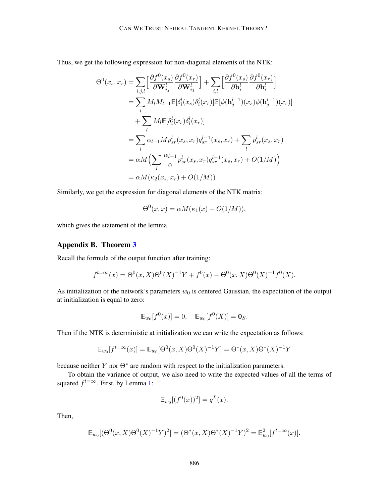Thus, we get the following expression for non-diagonal elements of the NTK:

$$
\Theta^{0}(x_{s}, x_{r}) = \sum_{i,j,l} \left[ \frac{\partial f^{0}(x_{s})}{\partial \mathbf{W}_{ij}^{l}} \frac{\partial f^{0}(x_{r})}{\partial \mathbf{W}_{ij}^{l}} \right] + \sum_{i,l} \left[ \frac{\partial f^{0}(x_{s})}{\partial \mathbf{b}_{i}^{l}} \frac{\partial f^{0}(x_{r})}{\partial \mathbf{b}_{i}^{l}} \right]
$$
  
\n
$$
= \sum_{l} M_{l} M_{l-1} \mathbb{E}[\delta_{i}^{l}(x_{s}) \delta_{i}^{l}(x_{r})] \mathbb{E}[\phi(\mathbf{h}_{j}^{l-1})(x_{s}) \phi(\mathbf{h}_{j}^{l-1})(x_{r})]
$$
  
\n
$$
+ \sum_{l} M_{l} \mathbb{E}[\delta_{i}^{l}(x_{s}) \delta_{i}^{l}(x_{r})]
$$
  
\n
$$
= \sum_{l} \alpha_{l-1} M p_{sr}^{l}(x_{s}, x_{r}) q_{sr}^{l-1}(x_{s}, x_{r}) + \sum_{l} p_{sr}^{l}(x_{s}, x_{r})
$$
  
\n
$$
= \alpha M \Big( \sum_{l} \frac{\alpha_{l-1}}{\alpha} p_{sr}^{l}(x_{s}, x_{r}) q_{sr}^{l-1}(x_{s}, x_{r}) + O(1/M) \Big)
$$
  
\n
$$
= \alpha M (\kappa_{2}(x_{s}, x_{r}) + O(1/M))
$$

Similarly, we get the expression for diagonal elements of the NTK matrix:

$$
\Theta^{0}(x, x) = \alpha M(\kappa_1(x) + O(1/M)),
$$

which gives the statement of the lemma.

## <span id="page-18-0"></span>Appendix B. Theorem [3](#page-14-0)

Recall the formula of the output function after training:

$$
f^{t=\infty}(x) = \Theta^0(x, X)\Theta^0(X)^{-1}Y + f^0(x) - \Theta^0(x, X)\Theta^0(X)^{-1}f^0(X).
$$

As initialization of the network's parameters  $w_0$  is centered Gaussian, the expectation of the output at initialization is equal to zero:

$$
\mathbb{E}_{w_0}[f^0(x)] = 0, \quad \mathbb{E}_{w_0}[f^0(X)] = \mathbf{0}_S.
$$

Then if the NTK is deterministic at initialization we can write the expectation as follows:

$$
\mathbb{E}_{w_0}[f^{t=\infty}(x)] = \mathbb{E}_{w_0}[\Theta^0(x, X)\Theta^0(X)^{-1}Y] = \Theta^*(x, X)\Theta^*(X)^{-1}Y
$$

because neither Y nor  $\Theta^*$  are random with respect to the initialization parameters.

To obtain the variance of output, we also need to write the expected values of all the terms of squared  $f^{t=\infty}$ . First, by Lemma [1:](#page-11-3)

$$
\mathbb{E}_{w_0}[(f^0(x))^2] = q^L(x).
$$

Then,

$$
\mathbb{E}_{w_0}[(\Theta^0(x,X)\Theta^0(X)^{-1}Y)^2] = (\Theta^*(x,X)\Theta^*(X)^{-1}Y)^2 = \mathbb{E}_{w_0}^2[f^{t=\infty}(x)].
$$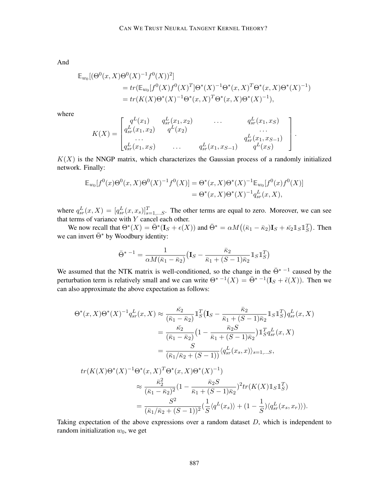And

$$
\mathbb{E}_{w_0}[(\Theta^0(x, X)\Theta^0(X)^{-1}f^0(X))^2]
$$
  
= tr( $\mathbb{E}_{w_0}[f^0(X)f^0(X)^T]\Theta^*(X)^{-1}\Theta^*(x, X)^T\Theta^*(x, X)\Theta^*(X)^{-1})$   
= tr(K(X)\Theta^\*(X)^{-1}\Theta^\*(x, X)^T\Theta^\*(x, X)\Theta^\*(X)^{-1}),

where

$$
K(X) = \begin{bmatrix} q^L(x_1) & q^L_{sr}(x_1, x_2) & \dots & q^L_{sr}(x_1, x_S) \\ q^L_{sr}(x_1, x_2) & q^L(x_2) & \dots & \dots \\ \dots & \dots & \dots & q^L_{sr}(x_1, x_{S-1}) \\ q^L_{sr}(x_1, x_S) & \dots & q^L_{sr}(x_1, x_{S-1}) & q^L(x_S) \end{bmatrix}
$$

.

 $K(X)$  is the NNGP matrix, which characterizes the Gaussian process of a randomly initialized network. Finally:

$$
\mathbb{E}_{w_0}[f^0(x)\Theta^0(x,X)\Theta^0(X)^{-1}f^0(X)] = \Theta^*(x,X)\Theta^*(X)^{-1}\mathbb{E}_{w_0}[f^0(x)f^0(X)]
$$
  
=  $\Theta^*(x,X)\Theta^*(X)^{-1}q_{sr}^L(x,X),$ 

where  $q_{sr}^L(x, X) = [q_{sr}^L(x, x_s)]_{s=1,...S}^T$ . The other terms are equal to zero. Moreover, we can see that terms of variance with  $Y$  cancel each other.

We now recall that  $\Theta^*(X) = \bar{\Theta}^*(I_S + \epsilon(X))$  and  $\bar{\Theta}^* = \alpha M((\bar{\kappa}_1 - \bar{\kappa}_2)I_S + \bar{\kappa}_2 I_S I_S^T)$ . Then we can invert  $\bar{\Theta}^*$  by Woodbury identity:

$$
\bar{\Theta}^{* - 1} = \frac{1}{\alpha M(\bar{\kappa}_1 - \bar{\kappa}_2)} \left( \mathbf{I}_S - \frac{\bar{\kappa}_2}{\bar{\kappa}_1 + (S - 1)\bar{\kappa}_2} \mathbb{1}_S \mathbb{1}_S^T \right)
$$

We assumed that the NTK matrix is well-conditioned, so the change in the  $\overline{\Theta}^*$  <sup>-1</sup> caused by the perturbation term is relatively small and we can write  $\Theta^*$   $^{-1}(X) = \overline{\Theta}^*$   $^{-1}(\mathbf{I}_S + \tilde{\epsilon}(X))$ . Then we can also approximate the above expectation as follows:

$$
\Theta^*(x, X)\Theta^*(X)^{-1}q_{sr}^L(x, X) \approx \frac{\bar{\kappa}_2}{(\bar{\kappa}_1 - \bar{\kappa}_2)} \mathbb{1}_S^T (\mathbf{I}_S - \frac{\bar{\kappa}_2}{\bar{\kappa}_1 + (S-1)\bar{\kappa}_2} \mathbb{1}_S \mathbb{1}_S^T) q_{sr}^L(x, X)
$$
  
= 
$$
\frac{\bar{\kappa}_2}{(\bar{\kappa}_1 - \bar{\kappa}_2)} \left(1 - \frac{\bar{\kappa}_2 S}{\bar{\kappa}_1 + (S-1)\bar{\kappa}_2}\right) \mathbb{1}_S^T q_{sr}^L(x, X)
$$
  
= 
$$
\frac{S}{(\bar{\kappa}_1/\bar{\kappa}_2 + (S-1))} \langle q_{sr}^L(x_s, x) \rangle_{s=1, \dots S},
$$

$$
tr(K(X)\Theta^*(X)^{-1}\Theta^*(x,X)^T\Theta^*(x,X)\Theta^*(X)^{-1})
$$
  
\n
$$
\approx \frac{\bar{\kappa}_2^2}{(\bar{\kappa}_1 - \bar{\kappa}_2)^2} (1 - \frac{\bar{\kappa}_2 S}{\bar{\kappa}_1 + (S-1)\bar{\kappa}_2})^2 tr(K(X) 1_S 1_S^T)
$$
  
\n
$$
= \frac{S^2}{(\bar{\kappa}_1/\bar{\kappa}_2 + (S-1))^2} (\frac{1}{S} \langle q^L(x_s) \rangle + (1 - \frac{1}{S}) \langle q_{sr}^L(x_s, x_r) \rangle).
$$

Taking expectation of the above expressions over a random dataset  $D$ , which is independent to random initialization  $w_0$ , we get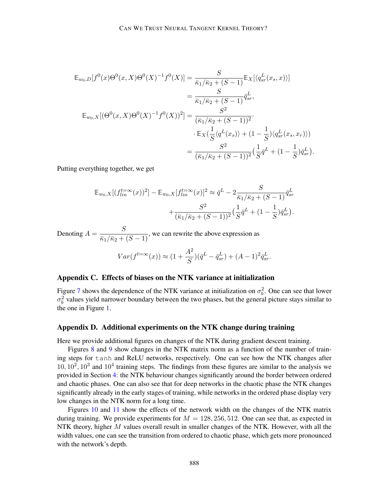$$
\mathbb{E}_{w_0,D}[f^0(x)\Theta^0(x,X)\Theta^0(X)^{-1}f^0(X)] = \frac{S}{\bar{\kappa}_1/\bar{\kappa}_2 + (S-1)} \mathbb{E}_X[\langle q_{sr}^L(x_s,x) \rangle]
$$
  
\n
$$
= \frac{S}{\bar{\kappa}_1/\bar{\kappa}_2 + (S-1)} \bar{q}_{sr}^L,
$$
  
\n
$$
\mathbb{E}_{w_0,X}[(\Theta^0(x,X)\Theta^0(X)^{-1}f^0(X))^2] = \frac{S^2}{(\bar{\kappa}_1/\bar{\kappa}_2 + (S-1))^2}.
$$
  
\n
$$
\cdot \mathbb{E}_X(\frac{1}{S}\langle q^L(x_s) \rangle + (1 - \frac{1}{S})\langle q_{sr}^L(x_s, x_r) \rangle)
$$
  
\n
$$
= \frac{S^2}{(\bar{\kappa}_1/\bar{\kappa}_2 + (S-1))^2} (\frac{1}{S}\bar{q}^L + (1 - \frac{1}{S})\bar{q}_{sr}^L).
$$

Putting everything together, we get

$$
\mathbb{E}_{w_0,X}[(f_{lin}^{t=\infty}(x))^2] - \mathbb{E}_{w_0,X}[f_{lin}^{t=\infty}(x)]^2 \approx \bar{q}^L - 2\frac{S}{\bar{\kappa}_1/\bar{\kappa}_2 + (S-1)}\bar{q}_{sr}^L + \frac{S^2}{(\bar{\kappa}_1/\bar{\kappa}_2 + (S-1))^2}(\frac{1}{S}\bar{q}^L + (1-\frac{1}{S})\bar{q}_{sr}^L).
$$

Denoting  $A = \frac{S}{\bar{\kappa}_1/\bar{\kappa}_2 + (S-1)}$ , we can rewrite the above expression as

$$
Var(f^{t=\infty}(x)) \approx (1 + \frac{A^2}{S})(\bar{q}^L - \bar{q}_{sr}^L) + (A - 1)^2 \bar{q}_{sr}^L.
$$

# Appendix C. Effects of biases on the NTK variance at initialization

Figure [7](#page-21-0) shows the dependence of the NTK variance at initialization on  $\sigma_b^2$ . One can see that lower  $\sigma_b^2$  values yield narrower boundary between the two phases, but the general picture stays similar to the one in Figure [1.](#page-6-0)

#### <span id="page-20-0"></span>Appendix D. Additional experiments on the NTK change during training

Here we provide additional figures on changes of the NTK during gradient descent training.

Figures [8](#page-22-0) and [9](#page-23-0) show changes in the NTK matrix norm as a function of the number of training steps for tanh and ReLU networks, respectively. One can see how the NTK changes after  $10, 10^2, 10^3$  and  $10^4$  training steps. The findings from these figures are similar to the analysis we provided in Section [4:](#page-8-0) the NTK behaviour changes significantly around the border between ordered and chaotic phases. One can also see that for deep networks in the chaotic phase the NTK changes significantly already in the early stages of training, while networks in the ordered phase display very low changes in the NTK norm for a long time.

Figures [10](#page-24-0) and [11](#page-25-0) show the effects of the network width on the changes of the NTK matrix during training. We provide experiments for  $M = 128, 256, 512$ . One can see that, as expected in NTK theory, higher  $M$  values overall result in smaller changes of the NTK. However, with all the width values, one can see the transition from ordered to chaotic phase, which gets more pronounced with the network's depth.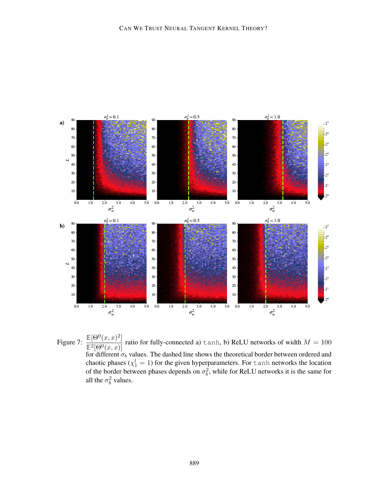

<span id="page-21-0"></span>Figure 7:  $\frac{\mathbb{E}[\Theta^0(x,x)^2]}{\mathbb{E}^2[\Theta^0(x,x)]}$ ratio for fully-connected a)  $\tanh$ , b) ReLU networks of width  $M = 100$ for different  $\sigma_b$  values. The dashed line shows the theoretical border between ordered and chaotic phases ( $\chi_1^l = 1$ ) for the given hyperparameters. For tanh networks the location of the border between phases depends on  $\sigma_b^2$ , while for ReLU networks it is the same for all the  $\sigma_b^2$  values.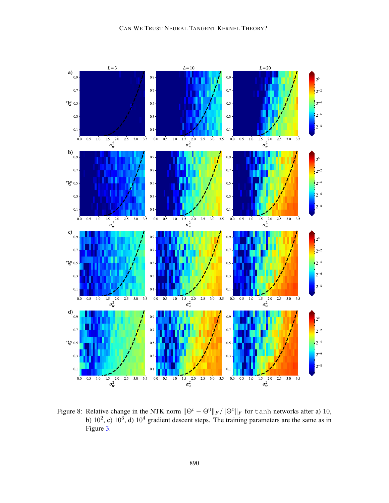

<span id="page-22-0"></span>Figure 8: Relative change in the NTK norm  $\|\Theta^t - \Theta^0\|_F / \|\Theta^0\|_F$  for tanh networks after a) 10, b)  $10^2$ , c)  $10^3$ , d)  $10^4$  gradient descent steps. The training parameters are the same as in Figure [3.](#page-9-0)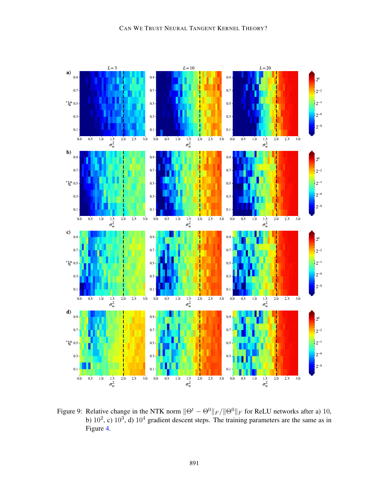

<span id="page-23-0"></span>Figure 9: Relative change in the NTK norm  $\|\Theta^t - \Theta^0\|_F / \|\Theta^0\|_F$  for ReLU networks after a) 10, b)  $10^2$ , c)  $10^3$ , d)  $10^4$  gradient descent steps. The training parameters are the same as in Figure [4.](#page-10-0)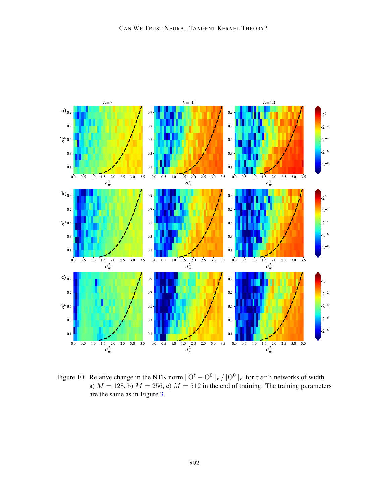

<span id="page-24-0"></span>Figure 10: Relative change in the NTK norm  $\|\Theta^t - \Theta^0\|_F / \|\Theta^0\|_F$  for <code>tanh</code> networks of width a)  $M = 128$ , b)  $M = 256$ , c)  $M = 512$  in the end of training. The training parameters are the same as in Figure [3.](#page-9-0)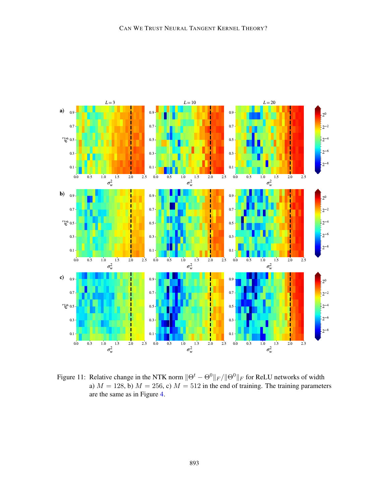

<span id="page-25-0"></span>Figure 11: Relative change in the NTK norm  $\|\Theta^t - \Theta^0\|_F / \|\Theta^0\|_F$  for ReLU networks of width a)  $M = 128$ , b)  $M = 256$ , c)  $M = 512$  in the end of training. The training parameters are the same as in Figure [4.](#page-10-0)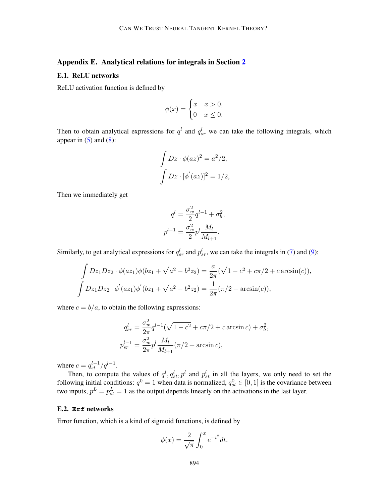# <span id="page-26-0"></span>Appendix E. Analytical relations for integrals in Section [2](#page-3-1)

#### E.1. ReLU networks

ReLU activation function is defined by

$$
\phi(x) = \begin{cases} x & x > 0, \\ 0 & x \le 0. \end{cases}
$$

Then to obtain analytical expressions for  $q^l$  and  $q_{sr}^l$  we can take the following integrals, which appear in  $(5)$  and  $(8)$ :

$$
\int Dz \cdot \phi(az)^2 = a^2/2,
$$

$$
\int Dz \cdot [\phi'(az)]^2 = 1/2,
$$

Then we immediately get

$$
q^{l} = \frac{\sigma_{w}^{2}}{2} q^{l-1} + \sigma_{b}^{2},
$$

$$
p^{l-1} = \frac{\sigma_{w}^{2}}{2} p^{l} \frac{M_{l}}{M_{l+1}}.
$$

Similarly, to get analytical expressions for  $q_{sr}^l$  and  $p_{sr}^l$ , we can take the integrals in [\(7\)](#page-4-1) and [\(9\)](#page-4-3):

$$
\int Dz_1Dz_2 \cdot \phi(az_1)\phi(bz_1 + \sqrt{a^2 - b^2}z_2) = \frac{a}{2\pi}(\sqrt{1 - c^2} + c\pi/2 + c \arcsin(c)),
$$
  

$$
\int Dz_1Dz_2 \cdot \phi'(az_1)\phi'(bz_1 + \sqrt{a^2 - b^2}z_2) = \frac{1}{2\pi}(\pi/2 + \arcsin(c)),
$$

where  $c = b/a$ , to obtain the following expressions:

$$
q_{sr}^l = \frac{\sigma_w^2}{2\pi} q^{l-1} (\sqrt{1 - c^2} + c\pi/2 + c \arcsin c) + \sigma_b^2,
$$
  

$$
p_{sr}^{l-1} = \frac{\sigma_w^2}{2\pi} p^l \frac{M_l}{M_{l+1}} (\pi/2 + \arcsin c),
$$

where  $c = q_{st}^{l-1}/q^{l-1}$ .

Then, to compute the values of  $q^l, q^l_{st}, p^l$  and  $p^l_{st}$  in all the layers, we only need to set the following initial conditions:  $q^0 = 1$  when data is normalized,  $q_{st}^0 \in [0, 1]$  is the covariance between two inputs,  $p^L = p_{st}^L = 1$  as the output depends linearly on the activations in the last layer.

### E.2. **Erf** networks

Error function, which is a kind of sigmoid functions, is defined by

$$
\phi(x) = \frac{2}{\sqrt{\pi}} \int_0^x e^{-t^2} dt.
$$